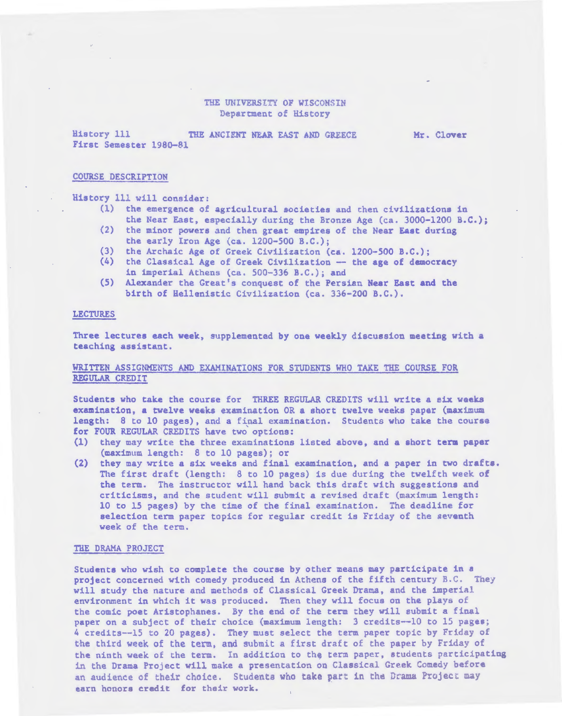### THE UNIVERSITY OF WISCONSIN Department of History

History 111 THE ANCIENT NEAR EAST AND GREECE First Semester l98Q-81

Mr. Clover

### COURSE DESCRIPTION

History 111 will consider:

- (1) the emergence of agricultural societies and then civilizations in the Near East, especially during the Bronze Age (ca. 3000-1200 B.C.);
- (2) the minor powers and then great empires of the Near East during the early Iron Age (ca. 1200-500 B.C.);
- (3) the Archaic Age of Greek Civilization (ca. 1200-500 B.C.);
- (4) the Classical Age of Greek Civilization -- the age of democracy in imperial Athens (ca. 500-336 B.C.); and
- (5) Alexander the Great:s conquest of the Persian Near East and the birth of Hellenistic Civilization (ca. 336-200 B.C.).

## LECTURES

Three lectures each week, supplemented by one weekly discussion meeting with a teaching assistant.

## WRITTEN ASSIGNMENTS AND EXAMINATIONS FOR STUDENTS WHO TAKE THE COURSE FOR REGULAR CREDIT

Students who take the course for THREE REGULAR CREDITS will write a eix weeks examination, a twelve weeks examination OR a short twelve weeks paper (maximum length: 8 to 10 pages), and a final examination. Students who take the coursa for FOUR REGULAR CREDITS have two options:

- (1) they may write the three examinations listed above, and a short term paper (maximum length: 8 to 10 pages); or
- (2) they may write a six weeks and final examination, and a paper in two drafts. The first draft (length: 8 to 10 pages) is due during the twelfth week of the term. The instructor will hand back this draft with suggestions and criticisms, and the student will submit a revised draft (maximum length: 10 to 15 pages) by the time of the final examination. The deadline for selection term paper topics for regular credit is Friday of the aeventh week of the term.

### THE DRAMA PROJECT

Students who wish to complete the course by other means may participate in a project concerned with comedy produced in Athens of the fifth century B.C. They will study the nature and methods of Classical Greek Drama, and the imperial environment in which it was produced. Then they will focus on the plays of the comic poet Aristophanes. By the end of the term they will submit a final paper on a subject of their choice (maximum length: 3 credits-~10 to 15 pages; 4 credits--15 to 20 pages). They must select the term paper topic by Friday of the third week of the term, and submit a first draft of the paper by Friday of the ninth week of the term. In addition to the term paper, students participating in the Drama Ptoject will. make a presentation on Classical Greek Comedy before an audience of their choice. Students who take part in the Drama Project may earn honors credit for their work.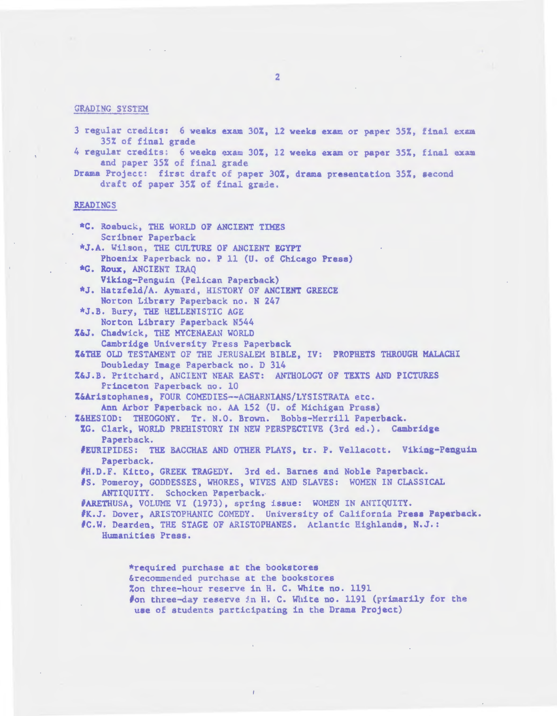## GRADING SYSTEM

 $\alpha_{\rm{max}}$ 

- 3 regular credits: 6 weeks exam 30%, 12 weeks exam or paper 35%, final exam 35% of final grade
- 4 regular credits: 6 weeks exam 30%, 12 weeks exam or paper 35%, final exam and paper 35% of final grade
- Drama Project: first draft of paper 30%, drama presentation 35%, second draft of paper 35% of final grade .

## READINGS

| *C. Roabuck, THE WORLD OF ANCIENT TIMES                                     |
|-----------------------------------------------------------------------------|
| Scribner Paperback                                                          |
| *J.A. Wilson, THE CULTURE OF ANCIENT EGYPT                                  |
| Phoenix Paperback no. P 11 (U. of Chicago Press)                            |
| *G. Roux, ANCIENT IRAQ                                                      |
| Viking-Penguin (Pelican Paperback)                                          |
| *J. Hatzfeld/A. Aymard, HISTORY OF ANCIENT GREECE                           |
| Norton Library Paperback no. N 247                                          |
| *J.B. Bury, THE HELLENISTIC AGE                                             |
| Norton Library Paperback N544                                               |
| Z&J. Chadwick, THE MYCENAEAN WORLD                                          |
| Cambridge University Press Paperback                                        |
| Z&THE OLD TESTAMENT OF THE JERUSALEM BIBLE, IV: PROPHETS THROUGH MALACHI    |
| Doubleday Image Paperback no. D 314                                         |
| Z&J.B. Pritchard, ANCIENT NEAR EAST: ANTHOLOGY OF TEXTS AND PICTURES        |
| Princeton Paperback no. 10                                                  |
| Z&Aristophanes, FOUR COMEDIES--ACHARNIANS/LYSISTRATA etc.                   |
| Ann Arbor Paperback no. AA 152 (U. of Michigan Press)                       |
| Z&HESIOD: THEOGONY. Tr. N.O. Brown. Bobbs-Merrill Paperback.                |
| XG. Clark, WORLD PREHISTORY IN NEW PERSPECTIVE (3rd ed.). Cambridge         |
| Paperback.                                                                  |
| FEURIPIDES: THE BACCHAE AND OTHER PLAYS, tr. P. Vellacott. Viking-Penguin   |
| Paperback.                                                                  |
| #H.D.F. Kitto, GREEK TRAGEDY. 3rd ed. Barnes and Noble Paperback.           |
| #S. Pomeroy, GODDESSES, WHORES, WIVES AND SLAVES: WOMEN IN CLASSICAL        |
| ANTIQUITY. Schocken Paperback.                                              |
| #ARETHUSA, VOLUME VI (1973), spring issue: WOMEN IN ANTIQUITY.              |
| #K.J. Dover, ARISTOPHANIC COMEDY. University of California Press Paperback. |
| #C.W. Dearden, THE STAGE OF ARISTOPHANES. Atlantic Highlands, N.J.:         |
| Humanities Press.                                                           |
|                                                                             |
|                                                                             |
| *required purchase at the bookstores                                        |
| &recommended purchase at the bookstores                                     |
| Zon three-hour reserve in H. C. White no. 1191                              |

#on three-day reserve in H. C. White no. 1191 (primarily for the use of students participating in the Drama Project)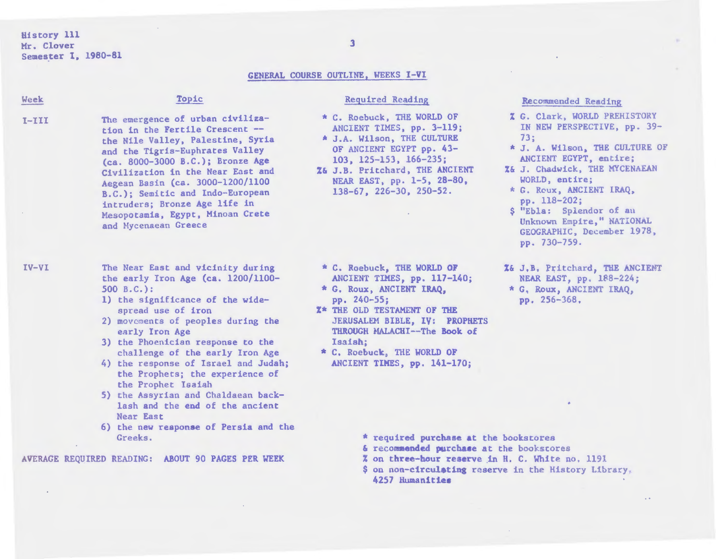History 111 Mr. Clover Semester 1, 1980-81

# GENERAL COURSE OUTLINE, WEEKS I-VI

| Week                                              | Topic                                                                                                                                                                                                                                                                                                                                                                                     | <b>Required Reading</b>                                                                                                                                                                                                                                                            | Recommended Reading                                                                                                                                                                                                                                                                                                                          |
|---------------------------------------------------|-------------------------------------------------------------------------------------------------------------------------------------------------------------------------------------------------------------------------------------------------------------------------------------------------------------------------------------------------------------------------------------------|------------------------------------------------------------------------------------------------------------------------------------------------------------------------------------------------------------------------------------------------------------------------------------|----------------------------------------------------------------------------------------------------------------------------------------------------------------------------------------------------------------------------------------------------------------------------------------------------------------------------------------------|
| $I-III$                                           | The emergence of urban civiliza-<br>tion in the Fertile Crescent --<br>the Nile Valley, Palestine, Syria<br>and the Tigris-Euphrates Valley<br>(ca. 8000-3000 B.C.); Bronze Age<br>Civilization in the Near East and<br>Aegean Basin (ca. 3000-1200/1100<br>B.C.); Semitic and Indo-European<br>intruders; Bronze Age life in<br>Mesopotamia, Egypt, Minoan Crete<br>and Mycenaean Greece | * C. Roebuck, THE WORLD OF<br>ANCIENT TIMES, pp. 3-119;<br>* J.A. Wilson, THE CULTURE<br>OF ANCIENT EGYPT pp. 43-<br>$103, 125 - 153, 166 - 235;$<br>Z& J.B. Pritchard, THE ANCIENT<br>NEAR EAST, pp. 1-5, 28-80,<br>$138-67$ , $226-30$ , $250-52$ .                              | <b>Z G. Clark, WORLD PREHISTORY</b><br>IN NEW PERSPECTIVE, pp. 39-<br>73:<br>* J. A. Wilson, THE CULTURE OF<br>ANCIENT EGYPT, entire;<br>%& J. Chadwick, THE MYCENAEAN<br>WORLD, entire;<br>* G. Roux, ANCIENT IRAQ,<br>pp. 118-202;<br>\$ "Ebla: Splendor of an<br>Unknown Empire," NATIONAL<br>GEOGRAPHIC, December 1978,<br>$pp.730-759.$ |
| IV-VI                                             | The Near East and vicinity during<br>the early Iron Age (ca. 1200/1100-<br>$500 B.C.$ :<br>1) the significance of the wide-<br>spread use of iron<br>2) movements of peoples during the<br>early Iron Age<br>3) the Phoenician response to the<br>challenge of the early Iron Age<br>4) the response of Israel and Judah;<br>the Prophets; the experience of<br>the Prophet Isaiah        | * C. Roebuck, THE WORLD OF<br>ANCIENT TIMES, pp. 117-140;<br>* G. Roux, ANCIENT IRAQ,<br>pp. 240-55;<br><b>X* THE OLD TESTAMENT OF THE</b><br>JERUSALEM BIBLE, IV: PROPHETS<br>THROUGH MALACHI-The Book of<br>Isaish:<br>* C. Roebuck, THE WORLD OF<br>ANCIENT TIMES, pp. 141-170; | %& J.B. Pritchard, THE ANCIENT<br>NEAR EAST, pp. 188-224;<br>* G, Roux, ANCIENT IRAQ,<br>pp. 256-368,                                                                                                                                                                                                                                        |
|                                                   | 5) the Assyrian and Chaldaean back-<br>lash and the end of the ancient<br><b>Near East</b><br>6) the new response of Persia and the                                                                                                                                                                                                                                                       |                                                                                                                                                                                                                                                                                    |                                                                                                                                                                                                                                                                                                                                              |
|                                                   | Greeks.                                                                                                                                                                                                                                                                                                                                                                                   | * required purchase at the bookstores                                                                                                                                                                                                                                              |                                                                                                                                                                                                                                                                                                                                              |
| AVERAGE REQUIRED READING: ABOUT 90 PAGES PER WEEK |                                                                                                                                                                                                                                                                                                                                                                                           | & recommended purchase at the bookstores<br>% on three-hour reserve in H. C. White no. 1191<br>\$ on non-circulating reserve in the History Library,<br>4257 Humanities                                                                                                            |                                                                                                                                                                                                                                                                                                                                              |

 $\sim$ 

 $\sim$   $\sim$ 

 $\sim$ 

3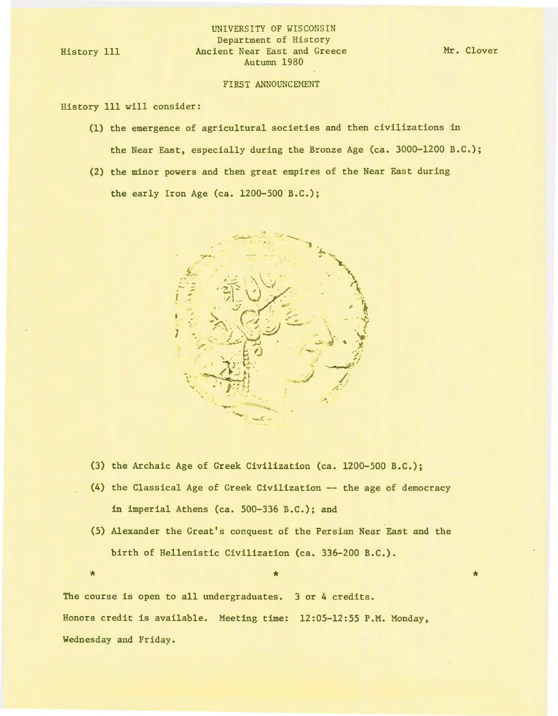History 111

## UNIVERSITY OF WISCONSIN Department of History Ancient Near East and Greece Autumn 1980

### FIRST ANNOUNCEMENT

History 111 will consider:

- (1) the emergence of agricultural societies and then civilizations in the Near East, especially during the Bronze Age (ca. 3000-1200 B.C.);
- (2) the minor powers and then great empires of the Near East during the early Iron Age (ca. 1200-500 B.C.);



- (3) the Archaic Age of Greek Civilization (ca. 1200-500 B.C.);
- (4) the Classical Age of Greek Civilization -- the age of democracy in imperial Athens (ca. 500-336 B.C.); and
- (5) Alexander the Great's conquest of the Persian Near East and the birth of Hellenistic Civilization (ca. 336-200 B.C.) .

 $\star$   $\star$   $\star$ 

The course is open to all undergraduates. 3 or 4 credits. Honors credit is available. Meeting time: 12:05-12:55 P.M. Monday, Wednesday and Friday.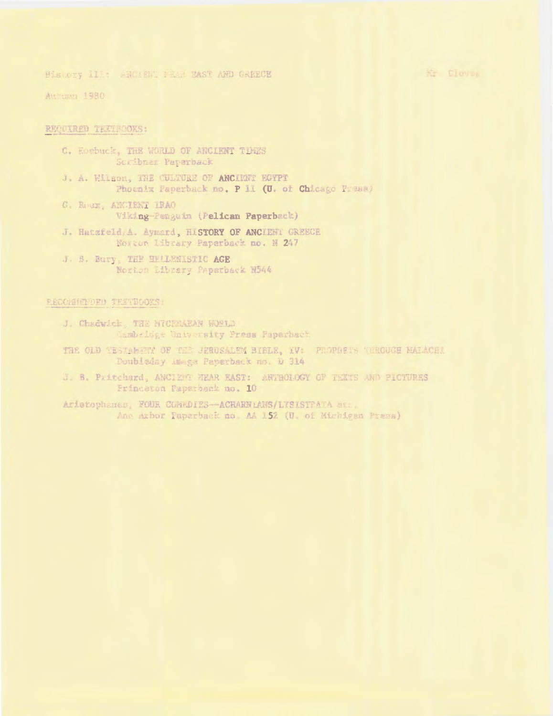Nr Clover

Pistory il: BNOLENT FRAM BAST AND GREECH

Atthumy 1980

## REQUIRED TEXTBOOKS:

- C. Kosbuck, THE WORLD OF ANCIENT TIMES Suribuer Paperback
- J. A. Wilson, THE CULTURE OF ANCINET EGYPT Phoenix Paperback no. P II (U. of Chicago Press)
- G. ROUX, ANCIENT IRAO Viking-Penguin (Pelican Paperback)
- J. Hatzfeld, A. Aymard, HISTORY OF ANCIENT GREECE Norton Library Paperback no. N 247
- J. B. Bury, THE BELLEWISTIC AGE Norton Eibrary Peperback N544

# RECOMMENDED TENTBOOKS:

- J. Chadwick, THE NTCENARAN WORLD Cambridge University Press Paperback
- THE OLD TESTAMENT OF THE JERUSALEM BIBLE, IV: PROPRITS THROUGH MALACHI Doubleday Amage Paperback no. D 314
- J. B. Pritchard, ANCIENT NEAR EAST: ANTHOLOGY OF TEXTS AND PICTURES Princeton Paperback no. 10
- Aristophanes, FOUR COMMOIES-ACHARNIANS/LYSISTRATA etc. Ang Arbor Paperback no. AA 152 (U. of Michigan Press)